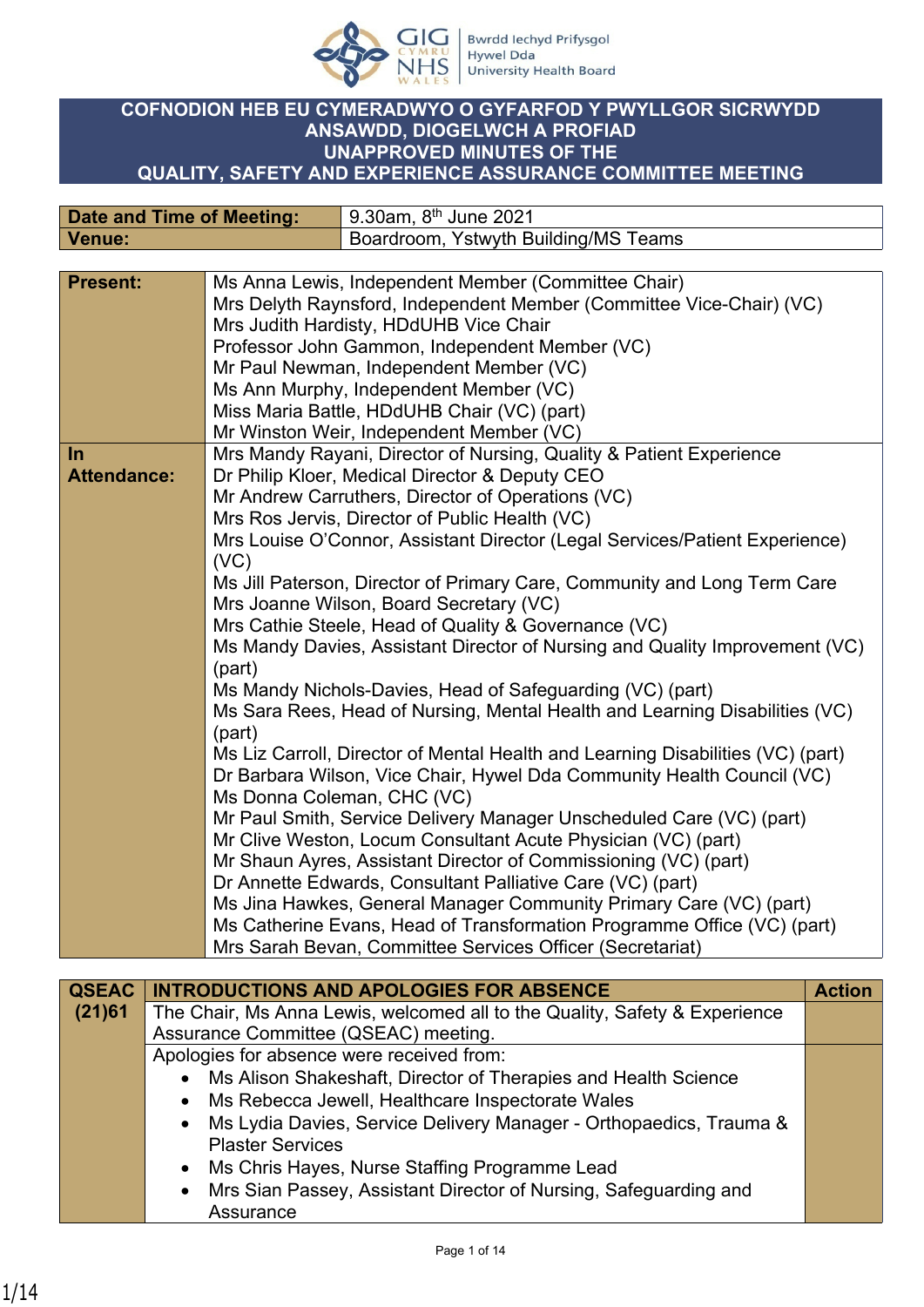

## **COFNODION HEB EU CYMERADWYO O GYFARFOD Y PWYLLGOR SICRWYDD ANSAWDD, DIOGELWCH A PROFIAD UNAPPROVED MINUTES OF THE QUALITY, SAFETY AND EXPERIENCE ASSURANCE COMMITTEE MEETING**

| <b>Date and Time of Meeting:</b> |        | 9.30am, 8 <sup>th</sup> June 2021                                                                                                                                                                                                                                                                                                                                                                       |
|----------------------------------|--------|---------------------------------------------------------------------------------------------------------------------------------------------------------------------------------------------------------------------------------------------------------------------------------------------------------------------------------------------------------------------------------------------------------|
| Venue:                           |        | Boardroom, Ystwyth Building/MS Teams                                                                                                                                                                                                                                                                                                                                                                    |
|                                  |        |                                                                                                                                                                                                                                                                                                                                                                                                         |
| <b>Present:</b>                  |        | Ms Anna Lewis, Independent Member (Committee Chair)<br>Mrs Delyth Raynsford, Independent Member (Committee Vice-Chair) (VC)<br>Mrs Judith Hardisty, HDdUHB Vice Chair<br>Professor John Gammon, Independent Member (VC)<br>Mr Paul Newman, Independent Member (VC)<br>Ms Ann Murphy, Independent Member (VC)<br>Miss Maria Battle, HDdUHB Chair (VC) (part)<br>Mr Winston Weir, Independent Member (VC) |
| $\ln$                            |        | Mrs Mandy Rayani, Director of Nursing, Quality & Patient Experience                                                                                                                                                                                                                                                                                                                                     |
| <b>Attendance:</b>               |        | Dr Philip Kloer, Medical Director & Deputy CEO                                                                                                                                                                                                                                                                                                                                                          |
|                                  |        | Mr Andrew Carruthers, Director of Operations (VC)                                                                                                                                                                                                                                                                                                                                                       |
|                                  |        | Mrs Ros Jervis, Director of Public Health (VC)                                                                                                                                                                                                                                                                                                                                                          |
|                                  |        | Mrs Louise O'Connor, Assistant Director (Legal Services/Patient Experience)                                                                                                                                                                                                                                                                                                                             |
|                                  | (VC)   |                                                                                                                                                                                                                                                                                                                                                                                                         |
|                                  |        | Ms Jill Paterson, Director of Primary Care, Community and Long Term Care                                                                                                                                                                                                                                                                                                                                |
|                                  |        | Mrs Joanne Wilson, Board Secretary (VC)                                                                                                                                                                                                                                                                                                                                                                 |
|                                  |        | Mrs Cathie Steele, Head of Quality & Governance (VC)                                                                                                                                                                                                                                                                                                                                                    |
|                                  | (part) | Ms Mandy Davies, Assistant Director of Nursing and Quality Improvement (VC)                                                                                                                                                                                                                                                                                                                             |
|                                  |        | Ms Mandy Nichols-Davies, Head of Safeguarding (VC) (part)                                                                                                                                                                                                                                                                                                                                               |
|                                  |        | Ms Sara Rees, Head of Nursing, Mental Health and Learning Disabilities (VC)                                                                                                                                                                                                                                                                                                                             |
| (part)                           |        |                                                                                                                                                                                                                                                                                                                                                                                                         |
|                                  |        | Ms Liz Carroll, Director of Mental Health and Learning Disabilities (VC) (part)                                                                                                                                                                                                                                                                                                                         |
|                                  |        | Dr Barbara Wilson, Vice Chair, Hywel Dda Community Health Council (VC)                                                                                                                                                                                                                                                                                                                                  |
|                                  |        | Ms Donna Coleman, CHC (VC)                                                                                                                                                                                                                                                                                                                                                                              |
|                                  |        | Mr Paul Smith, Service Delivery Manager Unscheduled Care (VC) (part)                                                                                                                                                                                                                                                                                                                                    |
|                                  |        | Mr Clive Weston, Locum Consultant Acute Physician (VC) (part)                                                                                                                                                                                                                                                                                                                                           |
|                                  |        | Mr Shaun Ayres, Assistant Director of Commissioning (VC) (part)                                                                                                                                                                                                                                                                                                                                         |
|                                  |        | Dr Annette Edwards, Consultant Palliative Care (VC) (part)                                                                                                                                                                                                                                                                                                                                              |
|                                  |        | Ms Jina Hawkes, General Manager Community Primary Care (VC) (part)                                                                                                                                                                                                                                                                                                                                      |
|                                  |        | Ms Catherine Evans, Head of Transformation Programme Office (VC) (part)                                                                                                                                                                                                                                                                                                                                 |
|                                  |        | Mrs Sarah Bevan, Committee Services Officer (Secretariat)                                                                                                                                                                                                                                                                                                                                               |
|                                  |        |                                                                                                                                                                                                                                                                                                                                                                                                         |

| <b>QSEAC</b> | <b>INTRODUCTIONS AND APOLOGIES FOR ABSENCE</b>                             | <b>Action</b> |
|--------------|----------------------------------------------------------------------------|---------------|
| (21)61       | The Chair, Ms Anna Lewis, welcomed all to the Quality, Safety & Experience |               |
|              | Assurance Committee (QSEAC) meeting.                                       |               |
|              | Apologies for absence were received from:                                  |               |
|              | • Ms Alison Shakeshaft, Director of Therapies and Health Science           |               |
|              | • Ms Rebecca Jewell, Healthcare Inspectorate Wales                         |               |
|              | • Ms Lydia Davies, Service Delivery Manager - Orthopaedics, Trauma &       |               |
|              | <b>Plaster Services</b>                                                    |               |
|              | • Ms Chris Hayes, Nurse Staffing Programme Lead                            |               |
|              | • Mrs Sian Passey, Assistant Director of Nursing, Safeguarding and         |               |
|              | Assurance                                                                  |               |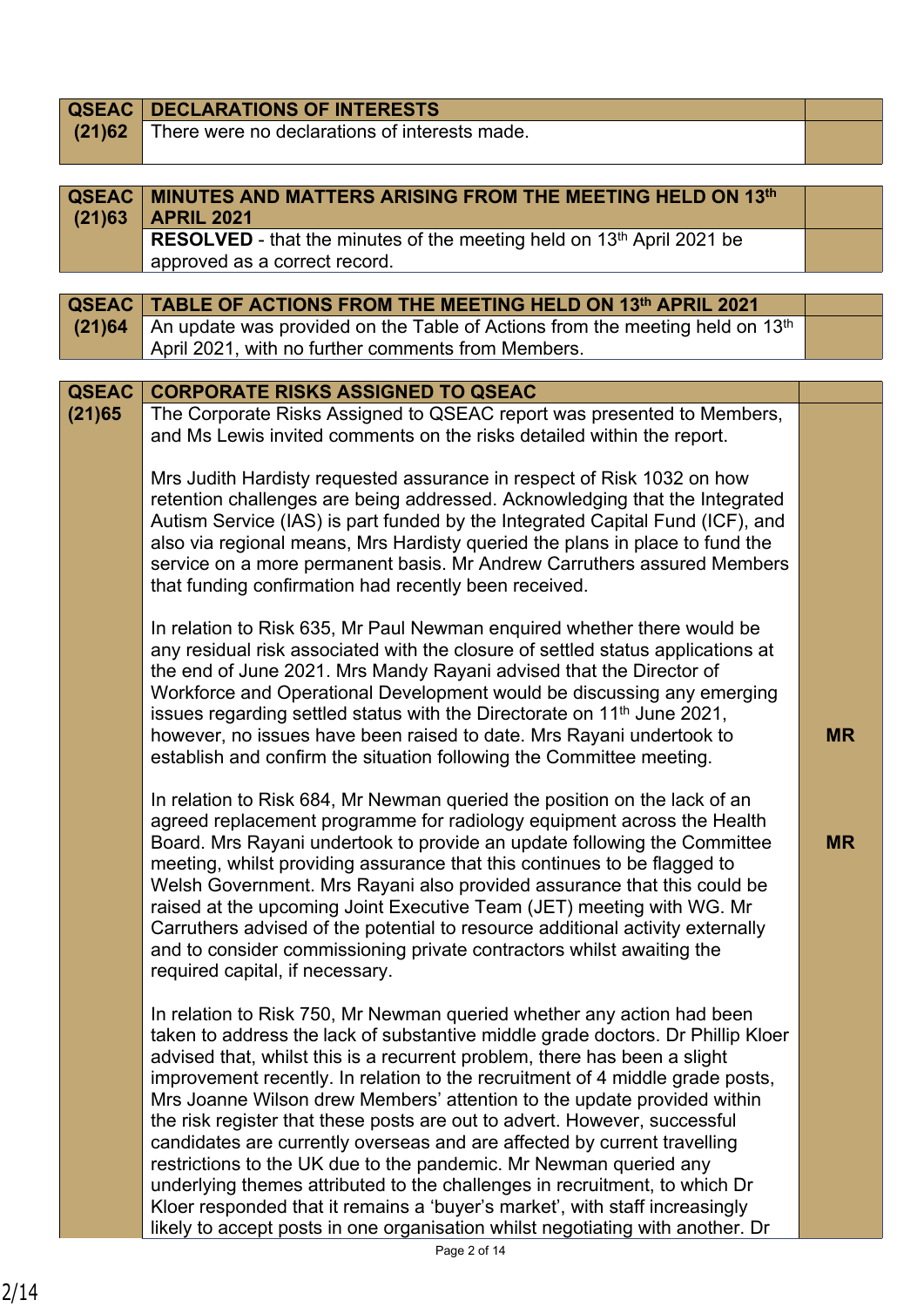| <b>QSEAC</b>           | <b>DECLARATIONS OF INTERESTS</b>                                                                                                                                                                                                                                                                                                                                                                                                                                                                                                                                                                                                                                                                                                                                                                                                                                                |           |
|------------------------|---------------------------------------------------------------------------------------------------------------------------------------------------------------------------------------------------------------------------------------------------------------------------------------------------------------------------------------------------------------------------------------------------------------------------------------------------------------------------------------------------------------------------------------------------------------------------------------------------------------------------------------------------------------------------------------------------------------------------------------------------------------------------------------------------------------------------------------------------------------------------------|-----------|
| (21)62                 | There were no declarations of interests made.                                                                                                                                                                                                                                                                                                                                                                                                                                                                                                                                                                                                                                                                                                                                                                                                                                   |           |
|                        |                                                                                                                                                                                                                                                                                                                                                                                                                                                                                                                                                                                                                                                                                                                                                                                                                                                                                 |           |
|                        |                                                                                                                                                                                                                                                                                                                                                                                                                                                                                                                                                                                                                                                                                                                                                                                                                                                                                 |           |
| <b>QSEAC</b><br>(21)63 | <b>MINUTES AND MATTERS ARISING FROM THE MEETING HELD ON 13th</b><br><b>APRIL 2021</b>                                                                                                                                                                                                                                                                                                                                                                                                                                                                                                                                                                                                                                                                                                                                                                                           |           |
|                        | RESOLVED - that the minutes of the meeting held on 13 <sup>th</sup> April 2021 be                                                                                                                                                                                                                                                                                                                                                                                                                                                                                                                                                                                                                                                                                                                                                                                               |           |
|                        | approved as a correct record.                                                                                                                                                                                                                                                                                                                                                                                                                                                                                                                                                                                                                                                                                                                                                                                                                                                   |           |
|                        |                                                                                                                                                                                                                                                                                                                                                                                                                                                                                                                                                                                                                                                                                                                                                                                                                                                                                 |           |
| <b>QSEAC</b>           | TABLE OF ACTIONS FROM THE MEETING HELD ON 13th APRIL 2021                                                                                                                                                                                                                                                                                                                                                                                                                                                                                                                                                                                                                                                                                                                                                                                                                       |           |
| (21)64                 | An update was provided on the Table of Actions from the meeting held on 13th                                                                                                                                                                                                                                                                                                                                                                                                                                                                                                                                                                                                                                                                                                                                                                                                    |           |
|                        | April 2021, with no further comments from Members.                                                                                                                                                                                                                                                                                                                                                                                                                                                                                                                                                                                                                                                                                                                                                                                                                              |           |
|                        |                                                                                                                                                                                                                                                                                                                                                                                                                                                                                                                                                                                                                                                                                                                                                                                                                                                                                 |           |
| <b>QSEAC</b>           | <b>CORPORATE RISKS ASSIGNED TO QSEAC</b>                                                                                                                                                                                                                                                                                                                                                                                                                                                                                                                                                                                                                                                                                                                                                                                                                                        |           |
| (21)65                 | The Corporate Risks Assigned to QSEAC report was presented to Members,<br>and Ms Lewis invited comments on the risks detailed within the report.                                                                                                                                                                                                                                                                                                                                                                                                                                                                                                                                                                                                                                                                                                                                |           |
|                        | Mrs Judith Hardisty requested assurance in respect of Risk 1032 on how<br>retention challenges are being addressed. Acknowledging that the Integrated<br>Autism Service (IAS) is part funded by the Integrated Capital Fund (ICF), and<br>also via regional means, Mrs Hardisty queried the plans in place to fund the<br>service on a more permanent basis. Mr Andrew Carruthers assured Members<br>that funding confirmation had recently been received.                                                                                                                                                                                                                                                                                                                                                                                                                      |           |
|                        | In relation to Risk 635, Mr Paul Newman enquired whether there would be<br>any residual risk associated with the closure of settled status applications at<br>the end of June 2021. Mrs Mandy Rayani advised that the Director of<br>Workforce and Operational Development would be discussing any emerging<br>issues regarding settled status with the Directorate on 11 <sup>th</sup> June 2021,<br>however, no issues have been raised to date. Mrs Rayani undertook to<br>establish and confirm the situation following the Committee meeting.                                                                                                                                                                                                                                                                                                                              | <b>MR</b> |
|                        | In relation to Risk 684, Mr Newman queried the position on the lack of an<br>agreed replacement programme for radiology equipment across the Health<br>Board. Mrs Rayani undertook to provide an update following the Committee<br>meeting, whilst providing assurance that this continues to be flagged to<br>Welsh Government. Mrs Rayani also provided assurance that this could be<br>raised at the upcoming Joint Executive Team (JET) meeting with WG. Mr<br>Carruthers advised of the potential to resource additional activity externally<br>and to consider commissioning private contractors whilst awaiting the<br>required capital, if necessary.                                                                                                                                                                                                                   | <b>MR</b> |
|                        | In relation to Risk 750, Mr Newman queried whether any action had been<br>taken to address the lack of substantive middle grade doctors. Dr Phillip Kloer<br>advised that, whilst this is a recurrent problem, there has been a slight<br>improvement recently. In relation to the recruitment of 4 middle grade posts,<br>Mrs Joanne Wilson drew Members' attention to the update provided within<br>the risk register that these posts are out to advert. However, successful<br>candidates are currently overseas and are affected by current travelling<br>restrictions to the UK due to the pandemic. Mr Newman queried any<br>underlying themes attributed to the challenges in recruitment, to which Dr<br>Kloer responded that it remains a 'buyer's market', with staff increasingly<br>likely to accept posts in one organisation whilst negotiating with another. Dr |           |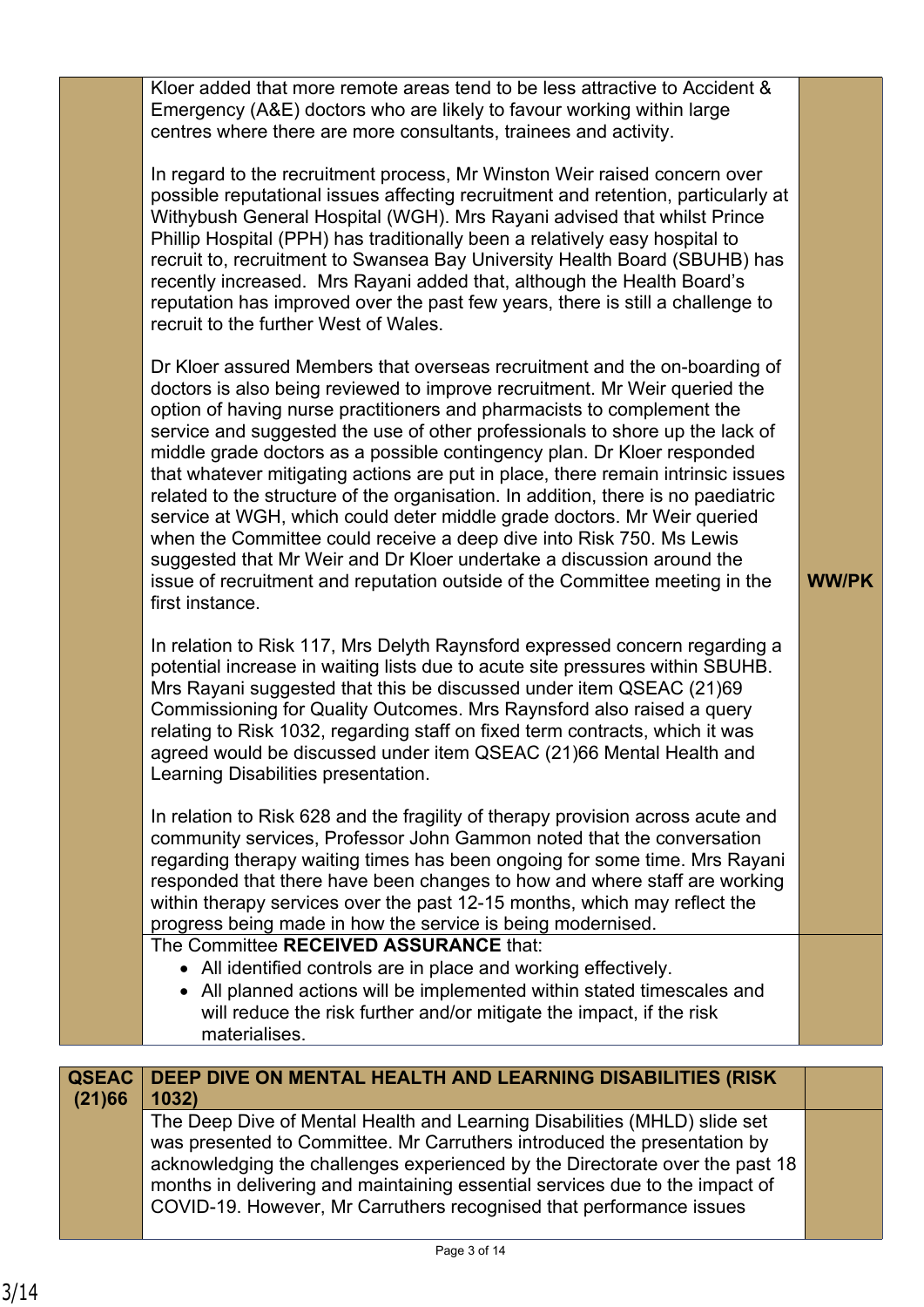| Kloer added that more remote areas tend to be less attractive to Accident &<br>Emergency (A&E) doctors who are likely to favour working within large<br>centres where there are more consultants, trainees and activity.<br>In regard to the recruitment process, Mr Winston Weir raised concern over<br>possible reputational issues affecting recruitment and retention, particularly at<br>Withybush General Hospital (WGH). Mrs Rayani advised that whilst Prince<br>Phillip Hospital (PPH) has traditionally been a relatively easy hospital to<br>recruit to, recruitment to Swansea Bay University Health Board (SBUHB) has<br>recently increased. Mrs Rayani added that, although the Health Board's<br>reputation has improved over the past few years, there is still a challenge to<br>recruit to the further West of Wales.<br>Dr Kloer assured Members that overseas recruitment and the on-boarding of<br>doctors is also being reviewed to improve recruitment. Mr Weir queried the<br>option of having nurse practitioners and pharmacists to complement the<br>service and suggested the use of other professionals to shore up the lack of<br>middle grade doctors as a possible contingency plan. Dr Kloer responded<br>that whatever mitigating actions are put in place, there remain intrinsic issues<br>related to the structure of the organisation. In addition, there is no paediatric<br>service at WGH, which could deter middle grade doctors. Mr Weir queried<br>when the Committee could receive a deep dive into Risk 750. Ms Lewis<br>suggested that Mr Weir and Dr Kloer undertake a discussion around the<br><b>WW/PK</b><br>issue of recruitment and reputation outside of the Committee meeting in the<br>first instance.<br>In relation to Risk 117, Mrs Delyth Raynsford expressed concern regarding a<br>potential increase in waiting lists due to acute site pressures within SBUHB.<br>Mrs Rayani suggested that this be discussed under item QSEAC (21)69<br>Commissioning for Quality Outcomes. Mrs Raynsford also raised a query<br>relating to Risk 1032, regarding staff on fixed term contracts, which it was<br>agreed would be discussed under item QSEAC (21)66 Mental Health and<br>Learning Disabilities presentation.<br>In relation to Risk 628 and the fragility of therapy provision across acute and<br>community services, Professor John Gammon noted that the conversation<br>regarding therapy waiting times has been ongoing for some time. Mrs Rayani<br>responded that there have been changes to how and where staff are working<br>within therapy services over the past 12-15 months, which may reflect the<br>progress being made in how the service is being modernised.<br>The Committee RECEIVED ASSURANCE that:<br>• All identified controls are in place and working effectively.<br>• All planned actions will be implemented within stated timescales and<br>will reduce the risk further and/or mitigate the impact, if the risk<br>materialises. |  |  |
|---------------------------------------------------------------------------------------------------------------------------------------------------------------------------------------------------------------------------------------------------------------------------------------------------------------------------------------------------------------------------------------------------------------------------------------------------------------------------------------------------------------------------------------------------------------------------------------------------------------------------------------------------------------------------------------------------------------------------------------------------------------------------------------------------------------------------------------------------------------------------------------------------------------------------------------------------------------------------------------------------------------------------------------------------------------------------------------------------------------------------------------------------------------------------------------------------------------------------------------------------------------------------------------------------------------------------------------------------------------------------------------------------------------------------------------------------------------------------------------------------------------------------------------------------------------------------------------------------------------------------------------------------------------------------------------------------------------------------------------------------------------------------------------------------------------------------------------------------------------------------------------------------------------------------------------------------------------------------------------------------------------------------------------------------------------------------------------------------------------------------------------------------------------------------------------------------------------------------------------------------------------------------------------------------------------------------------------------------------------------------------------------------------------------------------------------------------------------------------------------------------------------------------------------------------------------------------------------------------------------------------------------------------------------------------------------------------------------------------------------------------------------------------------------------------------------------------------------------------------------------------------------------------------------------------------------------------------------------------------------------------------------------------|--|--|
|                                                                                                                                                                                                                                                                                                                                                                                                                                                                                                                                                                                                                                                                                                                                                                                                                                                                                                                                                                                                                                                                                                                                                                                                                                                                                                                                                                                                                                                                                                                                                                                                                                                                                                                                                                                                                                                                                                                                                                                                                                                                                                                                                                                                                                                                                                                                                                                                                                                                                                                                                                                                                                                                                                                                                                                                                                                                                                                                                                                                                                 |  |  |
|                                                                                                                                                                                                                                                                                                                                                                                                                                                                                                                                                                                                                                                                                                                                                                                                                                                                                                                                                                                                                                                                                                                                                                                                                                                                                                                                                                                                                                                                                                                                                                                                                                                                                                                                                                                                                                                                                                                                                                                                                                                                                                                                                                                                                                                                                                                                                                                                                                                                                                                                                                                                                                                                                                                                                                                                                                                                                                                                                                                                                                 |  |  |
|                                                                                                                                                                                                                                                                                                                                                                                                                                                                                                                                                                                                                                                                                                                                                                                                                                                                                                                                                                                                                                                                                                                                                                                                                                                                                                                                                                                                                                                                                                                                                                                                                                                                                                                                                                                                                                                                                                                                                                                                                                                                                                                                                                                                                                                                                                                                                                                                                                                                                                                                                                                                                                                                                                                                                                                                                                                                                                                                                                                                                                 |  |  |
|                                                                                                                                                                                                                                                                                                                                                                                                                                                                                                                                                                                                                                                                                                                                                                                                                                                                                                                                                                                                                                                                                                                                                                                                                                                                                                                                                                                                                                                                                                                                                                                                                                                                                                                                                                                                                                                                                                                                                                                                                                                                                                                                                                                                                                                                                                                                                                                                                                                                                                                                                                                                                                                                                                                                                                                                                                                                                                                                                                                                                                 |  |  |
|                                                                                                                                                                                                                                                                                                                                                                                                                                                                                                                                                                                                                                                                                                                                                                                                                                                                                                                                                                                                                                                                                                                                                                                                                                                                                                                                                                                                                                                                                                                                                                                                                                                                                                                                                                                                                                                                                                                                                                                                                                                                                                                                                                                                                                                                                                                                                                                                                                                                                                                                                                                                                                                                                                                                                                                                                                                                                                                                                                                                                                 |  |  |
|                                                                                                                                                                                                                                                                                                                                                                                                                                                                                                                                                                                                                                                                                                                                                                                                                                                                                                                                                                                                                                                                                                                                                                                                                                                                                                                                                                                                                                                                                                                                                                                                                                                                                                                                                                                                                                                                                                                                                                                                                                                                                                                                                                                                                                                                                                                                                                                                                                                                                                                                                                                                                                                                                                                                                                                                                                                                                                                                                                                                                                 |  |  |

|        | <b>QSEAC   DEEP DIVE ON MENTAL HEALTH AND LEARNING DISABILITIES (RISK)</b>   |  |
|--------|------------------------------------------------------------------------------|--|
| (21)66 | 1032)                                                                        |  |
|        | The Deep Dive of Mental Health and Learning Disabilities (MHLD) slide set    |  |
|        | was presented to Committee. Mr Carruthers introduced the presentation by     |  |
|        | acknowledging the challenges experienced by the Directorate over the past 18 |  |
|        | months in delivering and maintaining essential services due to the impact of |  |
|        | COVID-19. However, Mr Carruthers recognised that performance issues          |  |
|        |                                                                              |  |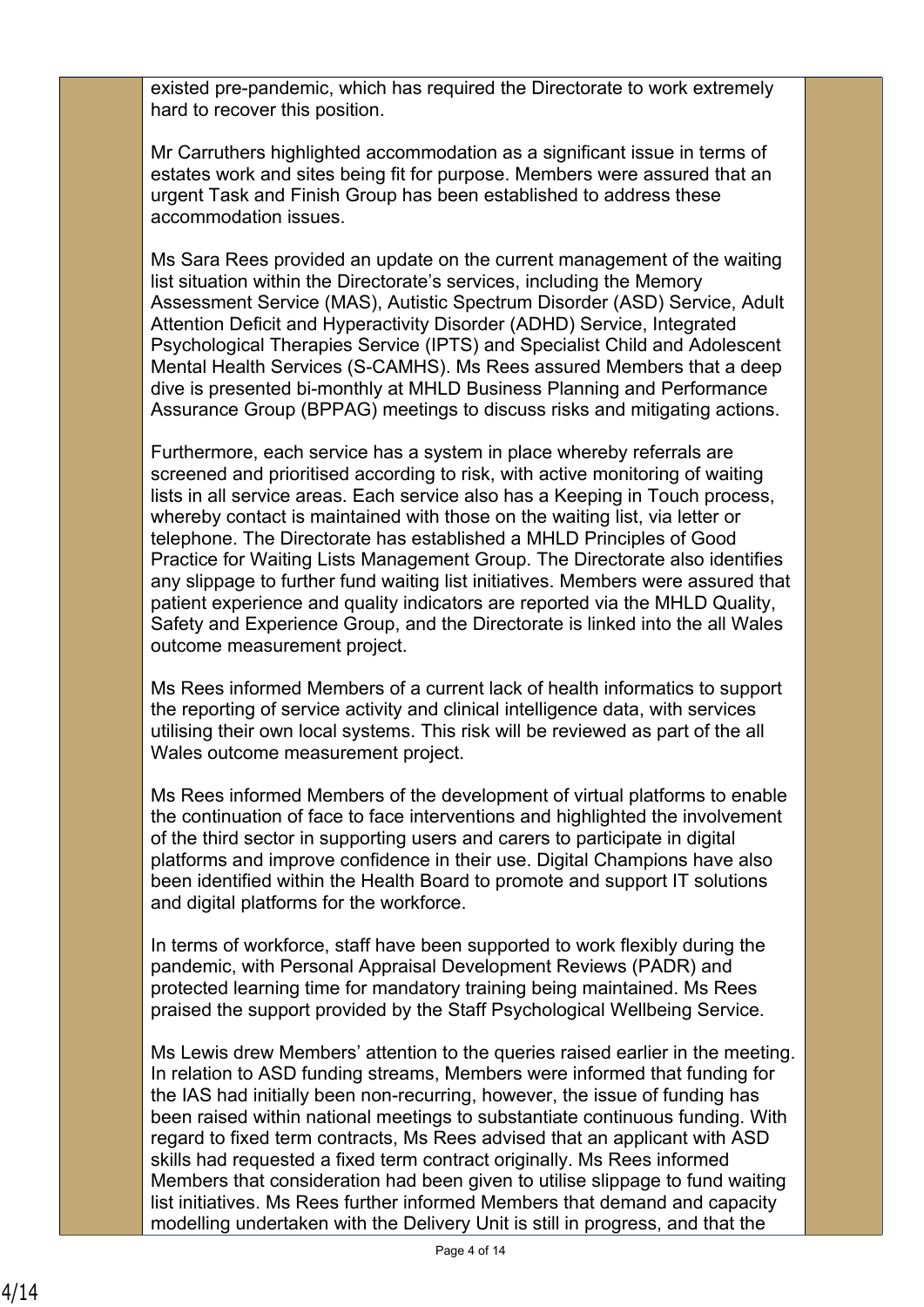existed pre-pandemic, which has required the Directorate to work extremely hard to recover this position.

Mr Carruthers highlighted accommodation as a significant issue in terms of estates work and sites being fit for purpose. Members were assured that an urgent Task and Finish Group has been established to address these accommodation issues.

Ms Sara Rees provided an update on the current management of the waiting list situation within the Directorate's services, including the Memory Assessment Service (MAS), Autistic Spectrum Disorder (ASD) Service, Adult Attention Deficit and Hyperactivity Disorder (ADHD) Service, Integrated Psychological Therapies Service (IPTS) and Specialist Child and Adolescent Mental Health Services (S-CAMHS). Ms Rees assured Members that a deep dive is presented bi-monthly at MHLD Business Planning and Performance Assurance Group (BPPAG) meetings to discuss risks and mitigating actions.

Furthermore, each service has a system in place whereby referrals are screened and prioritised according to risk, with active monitoring of waiting lists in all service areas. Each service also has a Keeping in Touch process, whereby contact is maintained with those on the waiting list, via letter or telephone. The Directorate has established a MHLD Principles of Good Practice for Waiting Lists Management Group. The Directorate also identifies any slippage to further fund waiting list initiatives. Members were assured that patient experience and quality indicators are reported via the MHLD Quality, Safety and Experience Group, and the Directorate is linked into the all Wales outcome measurement project.

Ms Rees informed Members of a current lack of health informatics to support the reporting of service activity and clinical intelligence data, with services utilising their own local systems. This risk will be reviewed as part of the all Wales outcome measurement project.

Ms Rees informed Members of the development of virtual platforms to enable the continuation of face to face interventions and highlighted the involvement of the third sector in supporting users and carers to participate in digital platforms and improve confidence in their use. Digital Champions have also been identified within the Health Board to promote and support IT solutions and digital platforms for the workforce.

In terms of workforce, staff have been supported to work flexibly during the pandemic, with Personal Appraisal Development Reviews (PADR) and protected learning time for mandatory training being maintained. Ms Rees praised the support provided by the Staff Psychological Wellbeing Service.

Ms Lewis drew Members' attention to the queries raised earlier in the meeting. In relation to ASD funding streams, Members were informed that funding for the IAS had initially been non-recurring, however, the issue of funding has been raised within national meetings to substantiate continuous funding. With regard to fixed term contracts, Ms Rees advised that an applicant with ASD skills had requested a fixed term contract originally. Ms Rees informed Members that consideration had been given to utilise slippage to fund waiting list initiatives. Ms Rees further informed Members that demand and capacity modelling undertaken with the Delivery Unit is still in progress, and that the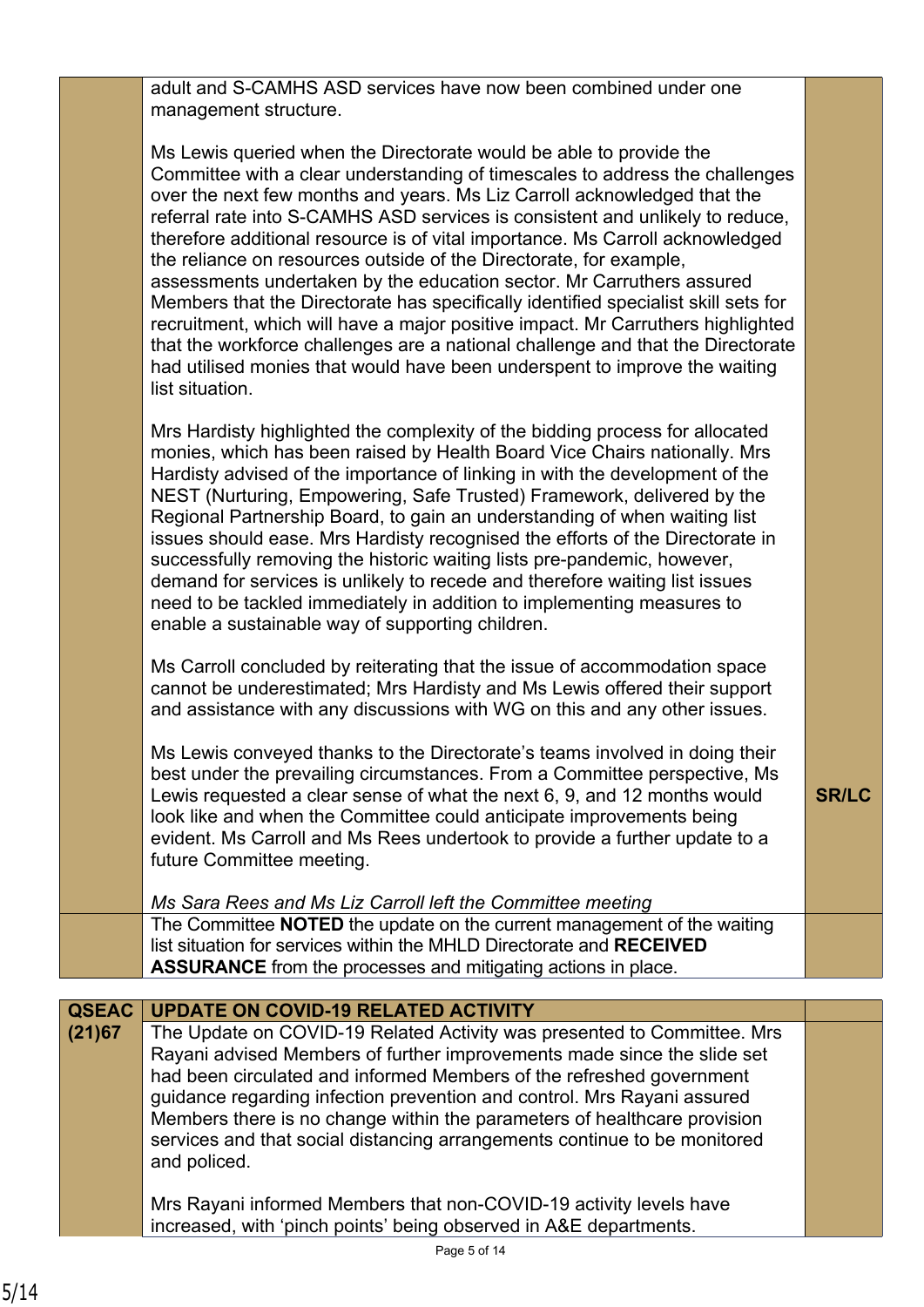|                        | adult and S-CAMHS ASD services have now been combined under one<br>management structure.                                                                                                                                                                                                                                                                                                                                                                                                                                                                                                                                                                                                                                                                                                                                                                                                                     |              |
|------------------------|--------------------------------------------------------------------------------------------------------------------------------------------------------------------------------------------------------------------------------------------------------------------------------------------------------------------------------------------------------------------------------------------------------------------------------------------------------------------------------------------------------------------------------------------------------------------------------------------------------------------------------------------------------------------------------------------------------------------------------------------------------------------------------------------------------------------------------------------------------------------------------------------------------------|--------------|
|                        | Ms Lewis queried when the Directorate would be able to provide the<br>Committee with a clear understanding of timescales to address the challenges<br>over the next few months and years. Ms Liz Carroll acknowledged that the<br>referral rate into S-CAMHS ASD services is consistent and unlikely to reduce,<br>therefore additional resource is of vital importance. Ms Carroll acknowledged<br>the reliance on resources outside of the Directorate, for example,<br>assessments undertaken by the education sector. Mr Carruthers assured<br>Members that the Directorate has specifically identified specialist skill sets for<br>recruitment, which will have a major positive impact. Mr Carruthers highlighted<br>that the workforce challenges are a national challenge and that the Directorate<br>had utilised monies that would have been underspent to improve the waiting<br>list situation. |              |
|                        | Mrs Hardisty highlighted the complexity of the bidding process for allocated<br>monies, which has been raised by Health Board Vice Chairs nationally. Mrs<br>Hardisty advised of the importance of linking in with the development of the<br>NEST (Nurturing, Empowering, Safe Trusted) Framework, delivered by the<br>Regional Partnership Board, to gain an understanding of when waiting list<br>issues should ease. Mrs Hardisty recognised the efforts of the Directorate in<br>successfully removing the historic waiting lists pre-pandemic, however,<br>demand for services is unlikely to recede and therefore waiting list issues<br>need to be tackled immediately in addition to implementing measures to<br>enable a sustainable way of supporting children.                                                                                                                                    |              |
|                        | Ms Carroll concluded by reiterating that the issue of accommodation space<br>cannot be underestimated; Mrs Hardisty and Ms Lewis offered their support<br>and assistance with any discussions with WG on this and any other issues.                                                                                                                                                                                                                                                                                                                                                                                                                                                                                                                                                                                                                                                                          |              |
|                        | Ms Lewis conveyed thanks to the Directorate's teams involved in doing their<br>best under the prevailing circumstances. From a Committee perspective, Ms<br>Lewis requested a clear sense of what the next 6, 9, and 12 months would<br>look like and when the Committee could anticipate improvements being<br>evident. Ms Carroll and Ms Rees undertook to provide a further update to a<br>future Committee meeting.                                                                                                                                                                                                                                                                                                                                                                                                                                                                                      | <b>SR/LC</b> |
|                        | Ms Sara Rees and Ms Liz Carroll left the Committee meeting                                                                                                                                                                                                                                                                                                                                                                                                                                                                                                                                                                                                                                                                                                                                                                                                                                                   |              |
|                        | The Committee NOTED the update on the current management of the waiting<br>list situation for services within the MHLD Directorate and RECEIVED<br><b>ASSURANCE</b> from the processes and mitigating actions in place.                                                                                                                                                                                                                                                                                                                                                                                                                                                                                                                                                                                                                                                                                      |              |
|                        |                                                                                                                                                                                                                                                                                                                                                                                                                                                                                                                                                                                                                                                                                                                                                                                                                                                                                                              |              |
| <b>QSEAC</b><br>(21)67 | <b>UPDATE ON COVID-19 RELATED ACTIVITY</b><br>The Update on COVID-19 Related Activity was presented to Committee. Mrs<br>Rayani advised Members of further improvements made since the slide set<br>had been circulated and informed Members of the refreshed government<br>guidance regarding infection prevention and control. Mrs Rayani assured<br>Members there is no change within the parameters of healthcare provision<br>services and that social distancing arrangements continue to be monitored<br>and policed.                                                                                                                                                                                                                                                                                                                                                                                 |              |
|                        | Mrs Rayani informed Members that non-COVID-19 activity levels have                                                                                                                                                                                                                                                                                                                                                                                                                                                                                                                                                                                                                                                                                                                                                                                                                                           |              |

increased, with 'pinch points' being observed in A&E departments.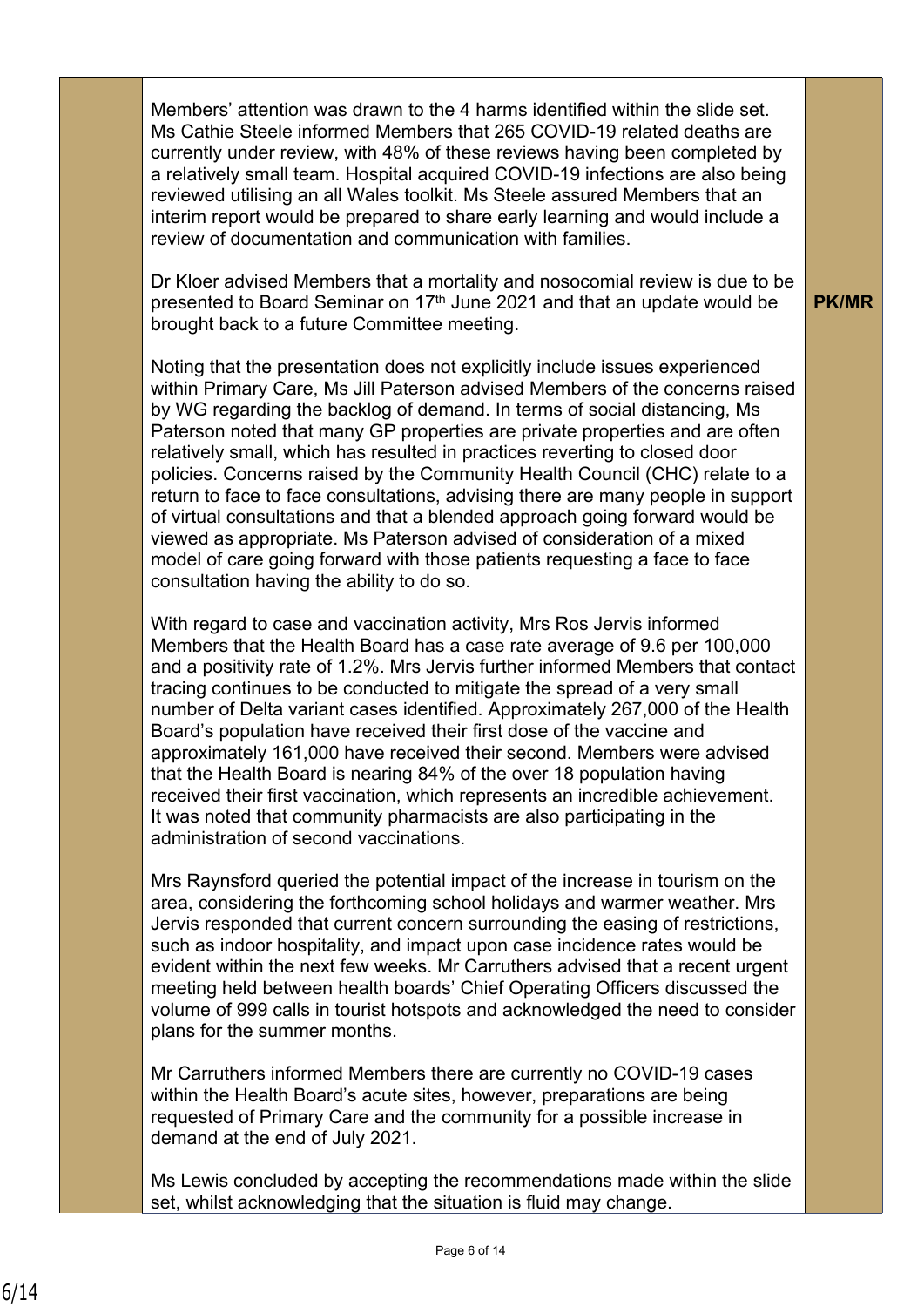Members' attention was drawn to the 4 harms identified within the slide set. Ms Cathie Steele informed Members that 265 COVID-19 related deaths are currently under review, with 48% of these reviews having been completed by a relatively small team. Hospital acquired COVID-19 infections are also being reviewed utilising an all Wales toolkit. Ms Steele assured Members that an interim report would be prepared to share early learning and would include a review of documentation and communication with families.

Dr Kloer advised Members that a mortality and nosocomial review is due to be presented to Board Seminar on 17<sup>th</sup> June 2021 and that an update would be brought back to a future Committee meeting.

**PK/MR**

Noting that the presentation does not explicitly include issues experienced within Primary Care, Ms Jill Paterson advised Members of the concerns raised by WG regarding the backlog of demand. In terms of social distancing, Ms Paterson noted that many GP properties are private properties and are often relatively small, which has resulted in practices reverting to closed door policies. Concerns raised by the Community Health Council (CHC) relate to a return to face to face consultations, advising there are many people in support of virtual consultations and that a blended approach going forward would be viewed as appropriate. Ms Paterson advised of consideration of a mixed model of care going forward with those patients requesting a face to face consultation having the ability to do so.

With regard to case and vaccination activity, Mrs Ros Jervis informed Members that the Health Board has a case rate average of 9.6 per 100,000 and a positivity rate of 1.2%. Mrs Jervis further informed Members that contact tracing continues to be conducted to mitigate the spread of a very small number of Delta variant cases identified. Approximately 267,000 of the Health Board's population have received their first dose of the vaccine and approximately 161,000 have received their second. Members were advised that the Health Board is nearing 84% of the over 18 population having received their first vaccination, which represents an incredible achievement. It was noted that community pharmacists are also participating in the administration of second vaccinations.

Mrs Raynsford queried the potential impact of the increase in tourism on the area, considering the forthcoming school holidays and warmer weather. Mrs Jervis responded that current concern surrounding the easing of restrictions, such as indoor hospitality, and impact upon case incidence rates would be evident within the next few weeks. Mr Carruthers advised that a recent urgent meeting held between health boards' Chief Operating Officers discussed the volume of 999 calls in tourist hotspots and acknowledged the need to consider plans for the summer months.

Mr Carruthers informed Members there are currently no COVID-19 cases within the Health Board's acute sites, however, preparations are being requested of Primary Care and the community for a possible increase in demand at the end of July 2021.

Ms Lewis concluded by accepting the recommendations made within the slide set, whilst acknowledging that the situation is fluid may change.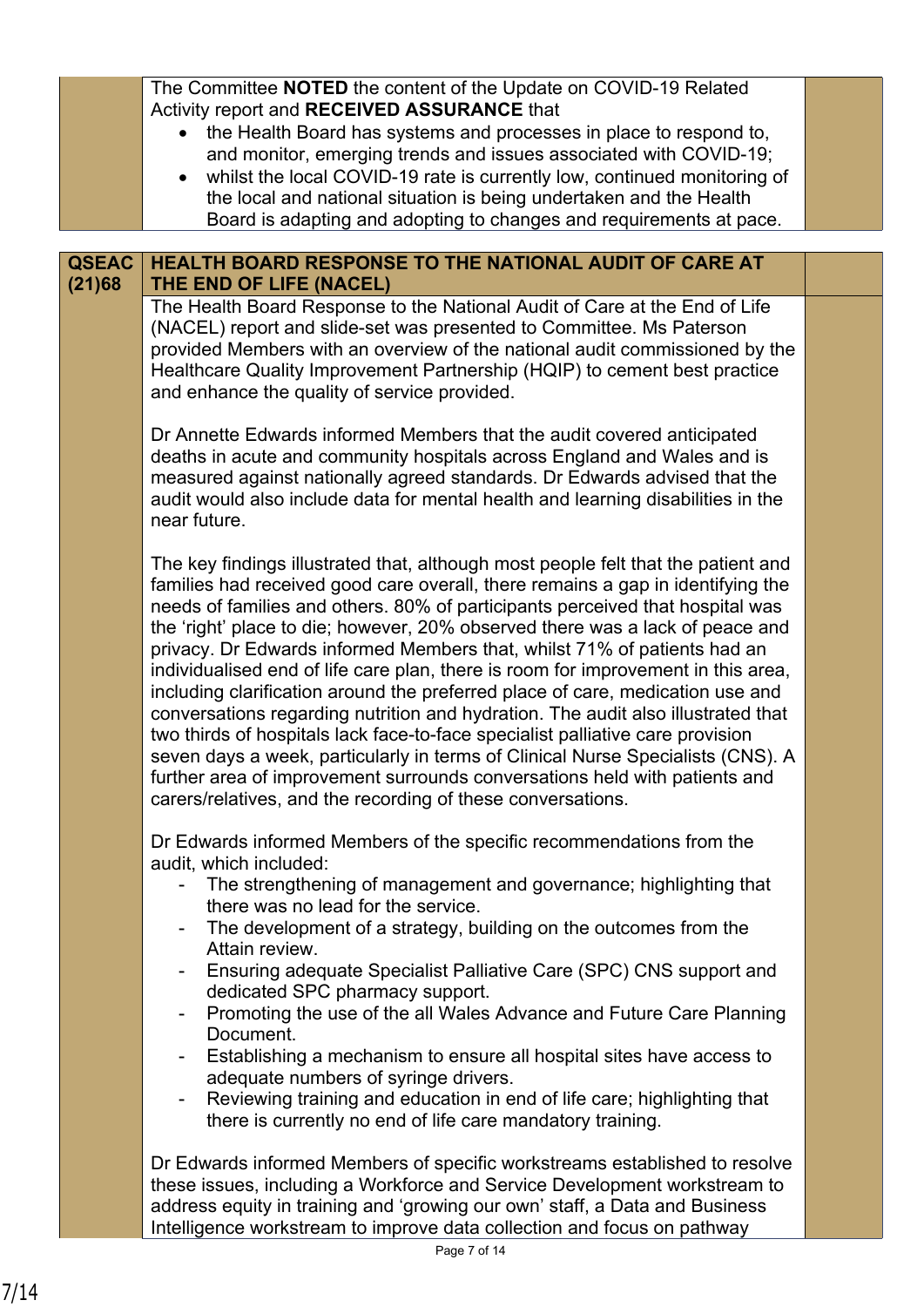|              | The Committee NOTED the content of the Update on COVID-19 Related<br>Activity report and RECEIVED ASSURANCE that<br>the Health Board has systems and processes in place to respond to,<br>$\bullet$<br>and monitor, emerging trends and issues associated with COVID-19;<br>whilst the local COVID-19 rate is currently low, continued monitoring of<br>$\bullet$<br>the local and national situation is being undertaken and the Health<br>Board is adapting and adopting to changes and requirements at pace.                                                                                                                                                                                                                                                                                                                                                                                                                                                                                 |  |
|--------------|-------------------------------------------------------------------------------------------------------------------------------------------------------------------------------------------------------------------------------------------------------------------------------------------------------------------------------------------------------------------------------------------------------------------------------------------------------------------------------------------------------------------------------------------------------------------------------------------------------------------------------------------------------------------------------------------------------------------------------------------------------------------------------------------------------------------------------------------------------------------------------------------------------------------------------------------------------------------------------------------------|--|
| <b>QSEAC</b> | HEALTH BOARD RESPONSE TO THE NATIONAL AUDIT OF CARE AT                                                                                                                                                                                                                                                                                                                                                                                                                                                                                                                                                                                                                                                                                                                                                                                                                                                                                                                                          |  |
| (21)68       | THE END OF LIFE (NACEL)<br>The Health Board Response to the National Audit of Care at the End of Life<br>(NACEL) report and slide-set was presented to Committee. Ms Paterson<br>provided Members with an overview of the national audit commissioned by the<br>Healthcare Quality Improvement Partnership (HQIP) to cement best practice<br>and enhance the quality of service provided.                                                                                                                                                                                                                                                                                                                                                                                                                                                                                                                                                                                                       |  |
|              | Dr Annette Edwards informed Members that the audit covered anticipated<br>deaths in acute and community hospitals across England and Wales and is<br>measured against nationally agreed standards. Dr Edwards advised that the<br>audit would also include data for mental health and learning disabilities in the<br>near future.                                                                                                                                                                                                                                                                                                                                                                                                                                                                                                                                                                                                                                                              |  |
|              | The key findings illustrated that, although most people felt that the patient and<br>families had received good care overall, there remains a gap in identifying the<br>needs of families and others. 80% of participants perceived that hospital was<br>the 'right' place to die; however, 20% observed there was a lack of peace and<br>privacy. Dr Edwards informed Members that, whilst 71% of patients had an<br>individualised end of life care plan, there is room for improvement in this area,<br>including clarification around the preferred place of care, medication use and<br>conversations regarding nutrition and hydration. The audit also illustrated that<br>two thirds of hospitals lack face-to-face specialist palliative care provision<br>seven days a week, particularly in terms of Clinical Nurse Specialists (CNS). A<br>further area of improvement surrounds conversations held with patients and<br>carers/relatives, and the recording of these conversations. |  |
|              | Dr Edwards informed Members of the specific recommendations from the<br>audit, which included:<br>The strengthening of management and governance; highlighting that<br>there was no lead for the service.<br>The development of a strategy, building on the outcomes from the<br>Attain review.<br>Ensuring adequate Specialist Palliative Care (SPC) CNS support and<br>dedicated SPC pharmacy support.<br>Promoting the use of the all Wales Advance and Future Care Planning<br>$\overline{\phantom{a}}$<br>Document.<br>Establishing a mechanism to ensure all hospital sites have access to<br>adequate numbers of syringe drivers.<br>Reviewing training and education in end of life care; highlighting that<br>$\overline{\phantom{a}}$<br>there is currently no end of life care mandatory training.                                                                                                                                                                                   |  |
|              | Dr Edwards informed Members of specific workstreams established to resolve<br>these issues, including a Workforce and Service Development workstream to<br>address equity in training and 'growing our own' staff, a Data and Business<br>Intelligence workstream to improve data collection and focus on pathway                                                                                                                                                                                                                                                                                                                                                                                                                                                                                                                                                                                                                                                                               |  |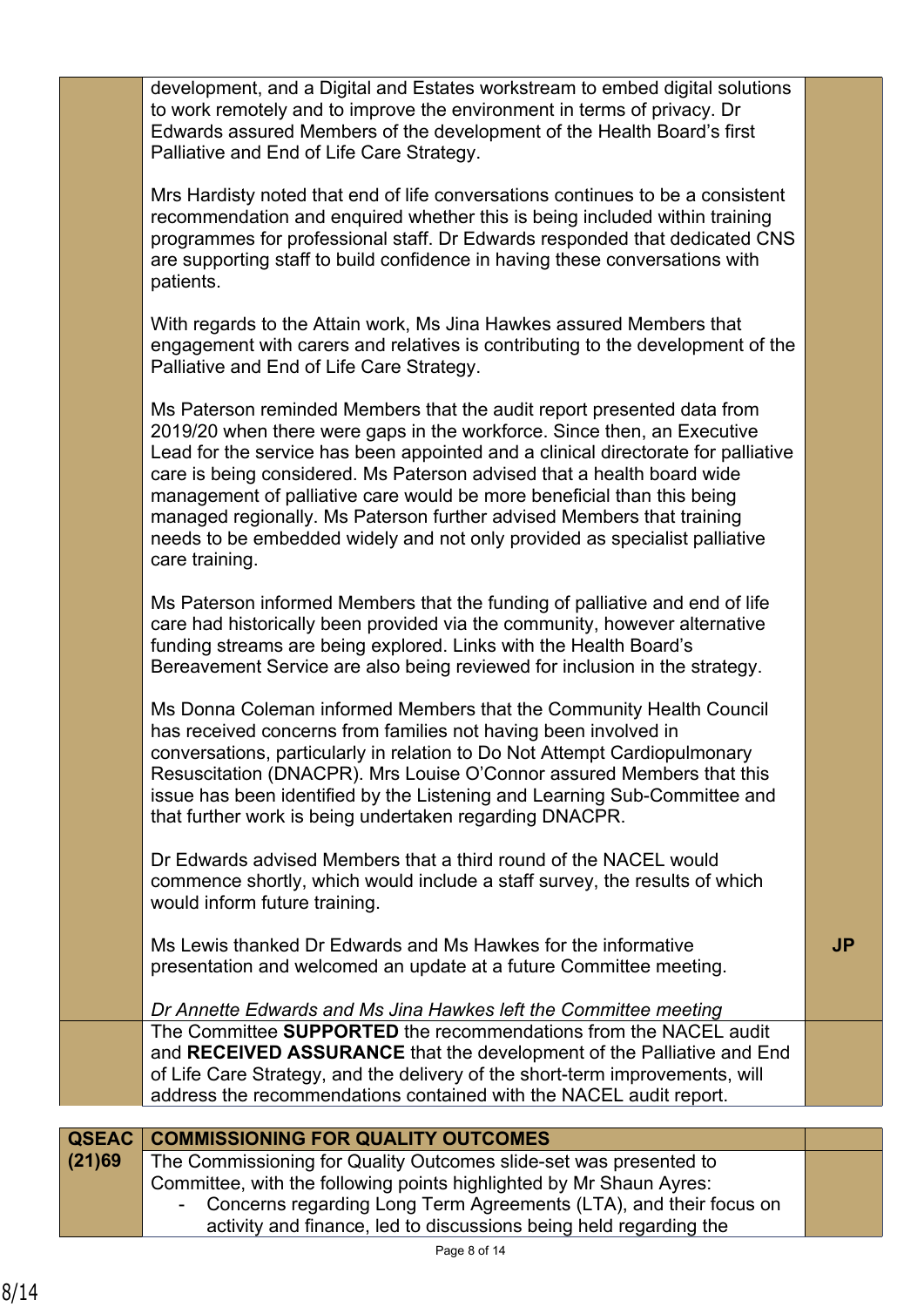|              | development, and a Digital and Estates workstream to embed digital solutions<br>to work remotely and to improve the environment in terms of privacy. Dr<br>Edwards assured Members of the development of the Health Board's first<br>Palliative and End of Life Care Strategy.                                                                                                                                                                                                                                                                                      |           |
|--------------|---------------------------------------------------------------------------------------------------------------------------------------------------------------------------------------------------------------------------------------------------------------------------------------------------------------------------------------------------------------------------------------------------------------------------------------------------------------------------------------------------------------------------------------------------------------------|-----------|
|              | Mrs Hardisty noted that end of life conversations continues to be a consistent<br>recommendation and enquired whether this is being included within training<br>programmes for professional staff. Dr Edwards responded that dedicated CNS<br>are supporting staff to build confidence in having these conversations with<br>patients.                                                                                                                                                                                                                              |           |
|              | With regards to the Attain work, Ms Jina Hawkes assured Members that<br>engagement with carers and relatives is contributing to the development of the<br>Palliative and End of Life Care Strategy.                                                                                                                                                                                                                                                                                                                                                                 |           |
|              | Ms Paterson reminded Members that the audit report presented data from<br>2019/20 when there were gaps in the workforce. Since then, an Executive<br>Lead for the service has been appointed and a clinical directorate for palliative<br>care is being considered. Ms Paterson advised that a health board wide<br>management of palliative care would be more beneficial than this being<br>managed regionally. Ms Paterson further advised Members that training<br>needs to be embedded widely and not only provided as specialist palliative<br>care training. |           |
|              | Ms Paterson informed Members that the funding of palliative and end of life<br>care had historically been provided via the community, however alternative<br>funding streams are being explored. Links with the Health Board's<br>Bereavement Service are also being reviewed for inclusion in the strategy.                                                                                                                                                                                                                                                        |           |
|              | Ms Donna Coleman informed Members that the Community Health Council<br>has received concerns from families not having been involved in<br>conversations, particularly in relation to Do Not Attempt Cardiopulmonary<br>Resuscitation (DNACPR). Mrs Louise O'Connor assured Members that this<br>issue has been identified by the Listening and Learning Sub-Committee and<br>that further work is being undertaken regarding DNACPR.                                                                                                                                |           |
|              | Dr Edwards advised Members that a third round of the NACEL would<br>commence shortly, which would include a staff survey, the results of which<br>would inform future training.                                                                                                                                                                                                                                                                                                                                                                                     |           |
|              | Ms Lewis thanked Dr Edwards and Ms Hawkes for the informative<br>presentation and welcomed an update at a future Committee meeting.                                                                                                                                                                                                                                                                                                                                                                                                                                 | <b>JP</b> |
|              | Dr Annette Edwards and Ms Jina Hawkes left the Committee meeting                                                                                                                                                                                                                                                                                                                                                                                                                                                                                                    |           |
|              | The Committee SUPPORTED the recommendations from the NACEL audit<br>and RECEIVED ASSURANCE that the development of the Palliative and End<br>of Life Care Strategy, and the delivery of the short-term improvements, will<br>address the recommendations contained with the NACEL audit report.                                                                                                                                                                                                                                                                     |           |
|              |                                                                                                                                                                                                                                                                                                                                                                                                                                                                                                                                                                     |           |
| <b>QSEAC</b> | <b>COMMISSIONING FOR QUALITY OUTCOMES</b>                                                                                                                                                                                                                                                                                                                                                                                                                                                                                                                           |           |
| (21)69       | The Commissioning for Quality Outcomes slide-set was presented to                                                                                                                                                                                                                                                                                                                                                                                                                                                                                                   |           |
|              | Committee, with the following points highlighted by Mr Shaun Ayres:<br>Concerns regarding Long Term Agreements $(1, T_A)$ and their feque on                                                                                                                                                                                                                                                                                                                                                                                                                        |           |
|              |                                                                                                                                                                                                                                                                                                                                                                                                                                                                                                                                                                     |           |

- Concerns regarding Long Term Agreements (LTA), and their focus on activity and finance, led to discussions being held regarding the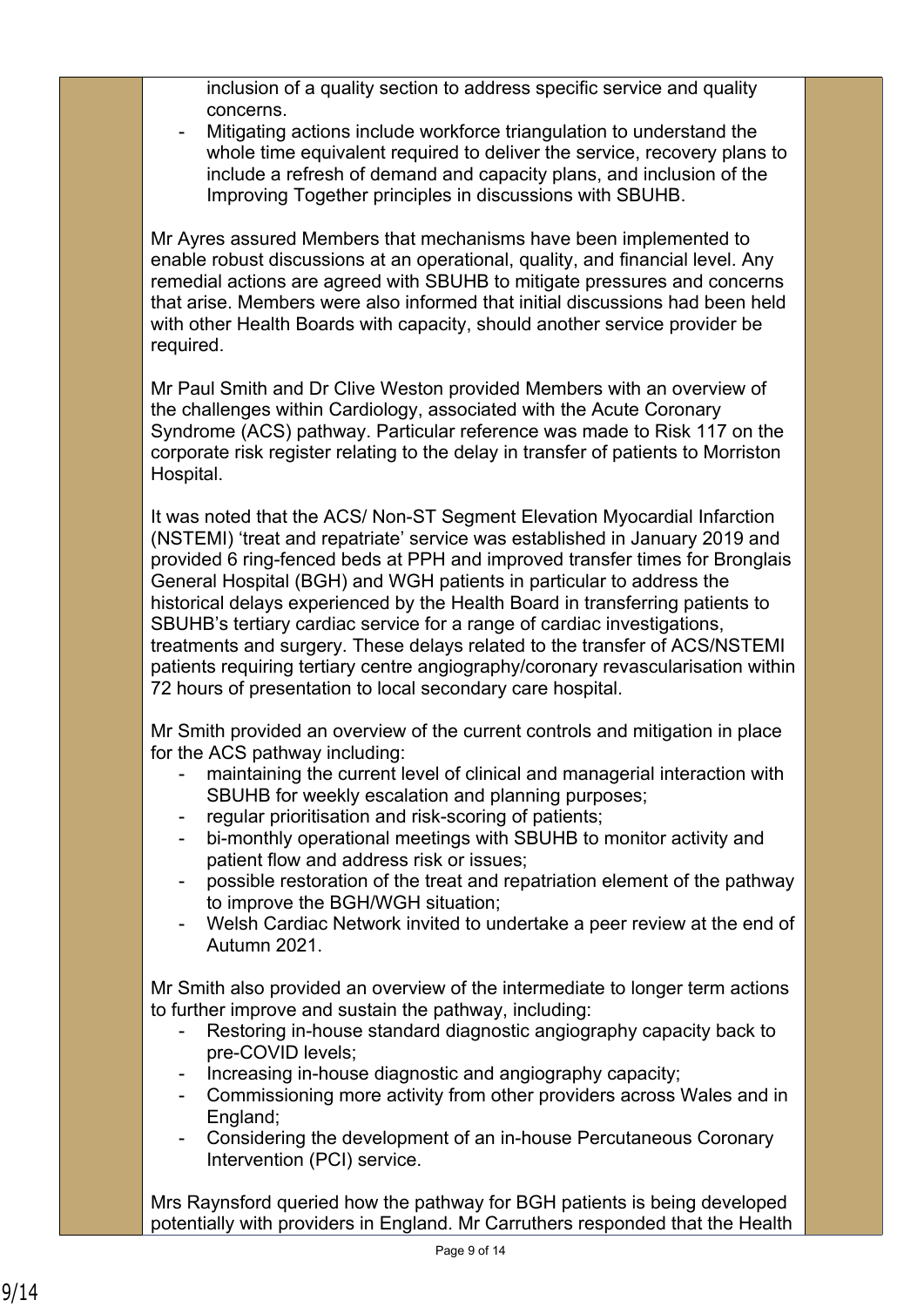inclusion of a quality section to address specific service and quality concerns.

Mitigating actions include workforce triangulation to understand the whole time equivalent required to deliver the service, recovery plans to include a refresh of demand and capacity plans, and inclusion of the Improving Together principles in discussions with SBUHB.

Mr Ayres assured Members that mechanisms have been implemented to enable robust discussions at an operational, quality, and financial level. Any remedial actions are agreed with SBUHB to mitigate pressures and concerns that arise. Members were also informed that initial discussions had been held with other Health Boards with capacity, should another service provider be required.

Mr Paul Smith and Dr Clive Weston provided Members with an overview of the challenges within Cardiology, associated with the Acute Coronary Syndrome (ACS) pathway. Particular reference was made to Risk 117 on the corporate risk register relating to the delay in transfer of patients to Morriston Hospital.

It was noted that the ACS/ Non-ST Segment Elevation Myocardial Infarction (NSTEMI) 'treat and repatriate' service was established in January 2019 and provided 6 ring-fenced beds at PPH and improved transfer times for Bronglais General Hospital (BGH) and WGH patients in particular to address the historical delays experienced by the Health Board in transferring patients to SBUHB's tertiary cardiac service for a range of cardiac investigations, treatments and surgery. These delays related to the transfer of ACS/NSTEMI patients requiring tertiary centre angiography/coronary revascularisation within 72 hours of presentation to local secondary care hospital.

Mr Smith provided an overview of the current controls and mitigation in place for the ACS pathway including:

- maintaining the current level of clinical and managerial interaction with SBUHB for weekly escalation and planning purposes;
- regular prioritisation and risk-scoring of patients;
- bi-monthly operational meetings with SBUHB to monitor activity and patient flow and address risk or issues;
- possible restoration of the treat and repatriation element of the pathway to improve the BGH/WGH situation;
- Welsh Cardiac Network invited to undertake a peer review at the end of Autumn 2021.

Mr Smith also provided an overview of the intermediate to longer term actions to further improve and sustain the pathway, including:

- Restoring in-house standard diagnostic angiography capacity back to pre-COVID levels;
- Increasing in-house diagnostic and angiography capacity;
- Commissioning more activity from other providers across Wales and in England;
- Considering the development of an in-house Percutaneous Coronary Intervention (PCI) service.

Mrs Raynsford queried how the pathway for BGH patients is being developed potentially with providers in England. Mr Carruthers responded that the Health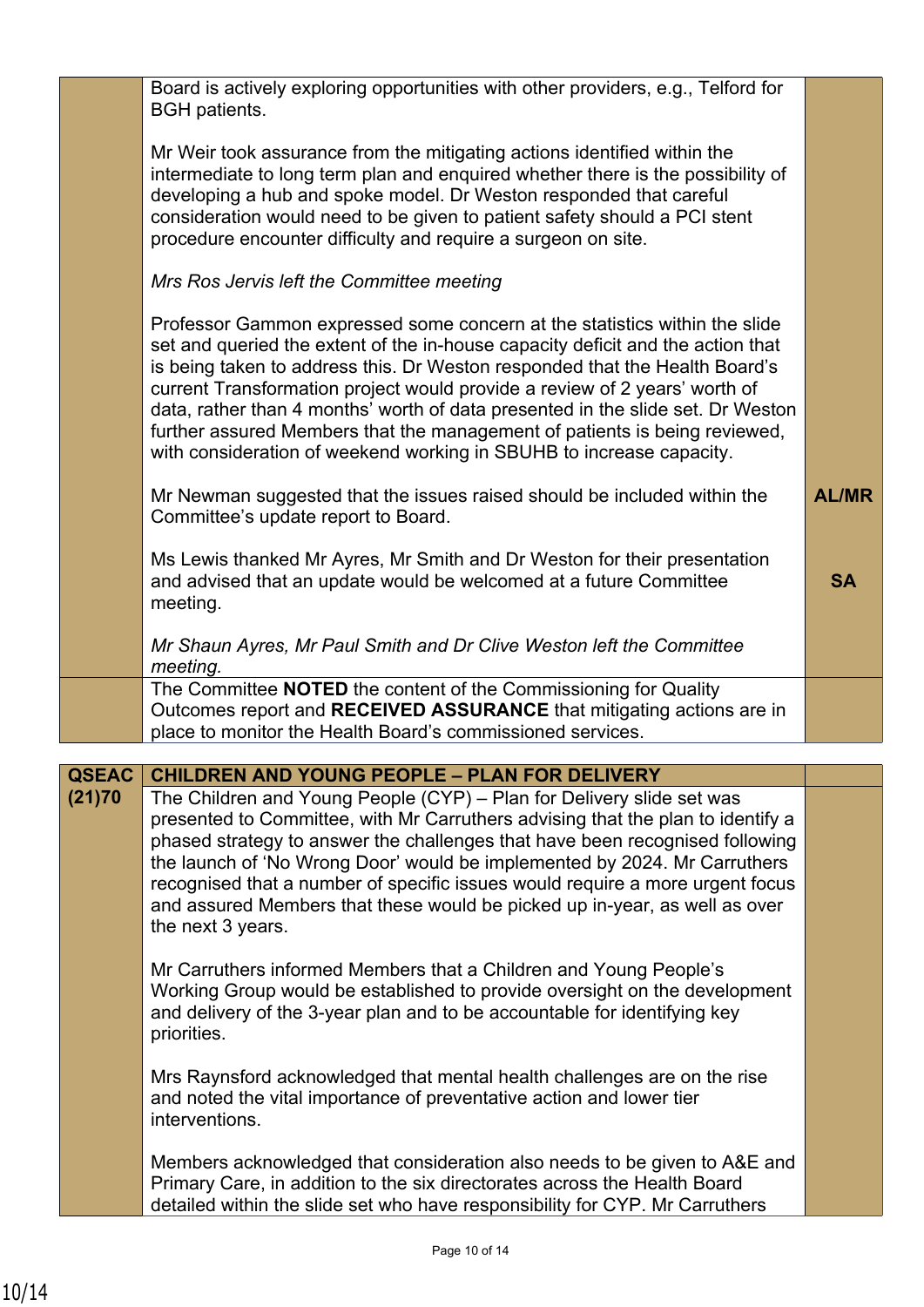|              | Board is actively exploring opportunities with other providers, e.g., Telford for<br><b>BGH</b> patients.                                                                                                                                                                                                                                                                                                                                                                                                                                                           |              |
|--------------|---------------------------------------------------------------------------------------------------------------------------------------------------------------------------------------------------------------------------------------------------------------------------------------------------------------------------------------------------------------------------------------------------------------------------------------------------------------------------------------------------------------------------------------------------------------------|--------------|
|              | Mr Weir took assurance from the mitigating actions identified within the<br>intermediate to long term plan and enquired whether there is the possibility of<br>developing a hub and spoke model. Dr Weston responded that careful<br>consideration would need to be given to patient safety should a PCI stent<br>procedure encounter difficulty and require a surgeon on site.                                                                                                                                                                                     |              |
|              | Mrs Ros Jervis left the Committee meeting                                                                                                                                                                                                                                                                                                                                                                                                                                                                                                                           |              |
|              | Professor Gammon expressed some concern at the statistics within the slide<br>set and queried the extent of the in-house capacity deficit and the action that<br>is being taken to address this. Dr Weston responded that the Health Board's<br>current Transformation project would provide a review of 2 years' worth of<br>data, rather than 4 months' worth of data presented in the slide set. Dr Weston<br>further assured Members that the management of patients is being reviewed,<br>with consideration of weekend working in SBUHB to increase capacity. |              |
|              | Mr Newman suggested that the issues raised should be included within the<br>Committee's update report to Board.                                                                                                                                                                                                                                                                                                                                                                                                                                                     | <b>AL/MR</b> |
|              | Ms Lewis thanked Mr Ayres, Mr Smith and Dr Weston for their presentation<br>and advised that an update would be welcomed at a future Committee<br>meeting.                                                                                                                                                                                                                                                                                                                                                                                                          | <b>SA</b>    |
|              | Mr Shaun Ayres, Mr Paul Smith and Dr Clive Weston left the Committee<br>meeting.                                                                                                                                                                                                                                                                                                                                                                                                                                                                                    |              |
|              | The Committee NOTED the content of the Commissioning for Quality<br>Outcomes report and RECEIVED ASSURANCE that mitigating actions are in<br>place to monitor the Health Board's commissioned services.                                                                                                                                                                                                                                                                                                                                                             |              |
| <b>QSEAC</b> | <b>CHILDREN AND YOUNG PEOPLE - PLAN FOR DELIVERY</b>                                                                                                                                                                                                                                                                                                                                                                                                                                                                                                                |              |
| (21)70       | The Children and Young People (CYP) – Plan for Delivery slide set was<br>presented to Committee, with Mr Carruthers advising that the plan to identify a<br>phased strategy to answer the challenges that have been recognised following<br>the launch of 'No Wrong Door' would be implemented by 2024. Mr Carruthers<br>recognised that a number of specific issues would require a more urgent focus<br>and assured Members that these would be picked up in-year, as well as over<br>the next 3 years.                                                           |              |
|              | Mr Carruthers informed Members that a Children and Young People's<br>Working Group would be established to provide oversight on the development<br>and delivery of the 3-year plan and to be accountable for identifying key<br>priorities.                                                                                                                                                                                                                                                                                                                         |              |
|              | Mrs Raynsford acknowledged that mental health challenges are on the rise<br>and noted the vital importance of preventative action and lower tier<br>interventions.                                                                                                                                                                                                                                                                                                                                                                                                  |              |
|              | Members acknowledged that consideration also needs to be given to A&E and<br>Primary Care, in addition to the six directorates across the Health Board<br>detailed within the slide set who have responsibility for CYP. Mr Carruthers                                                                                                                                                                                                                                                                                                                              |              |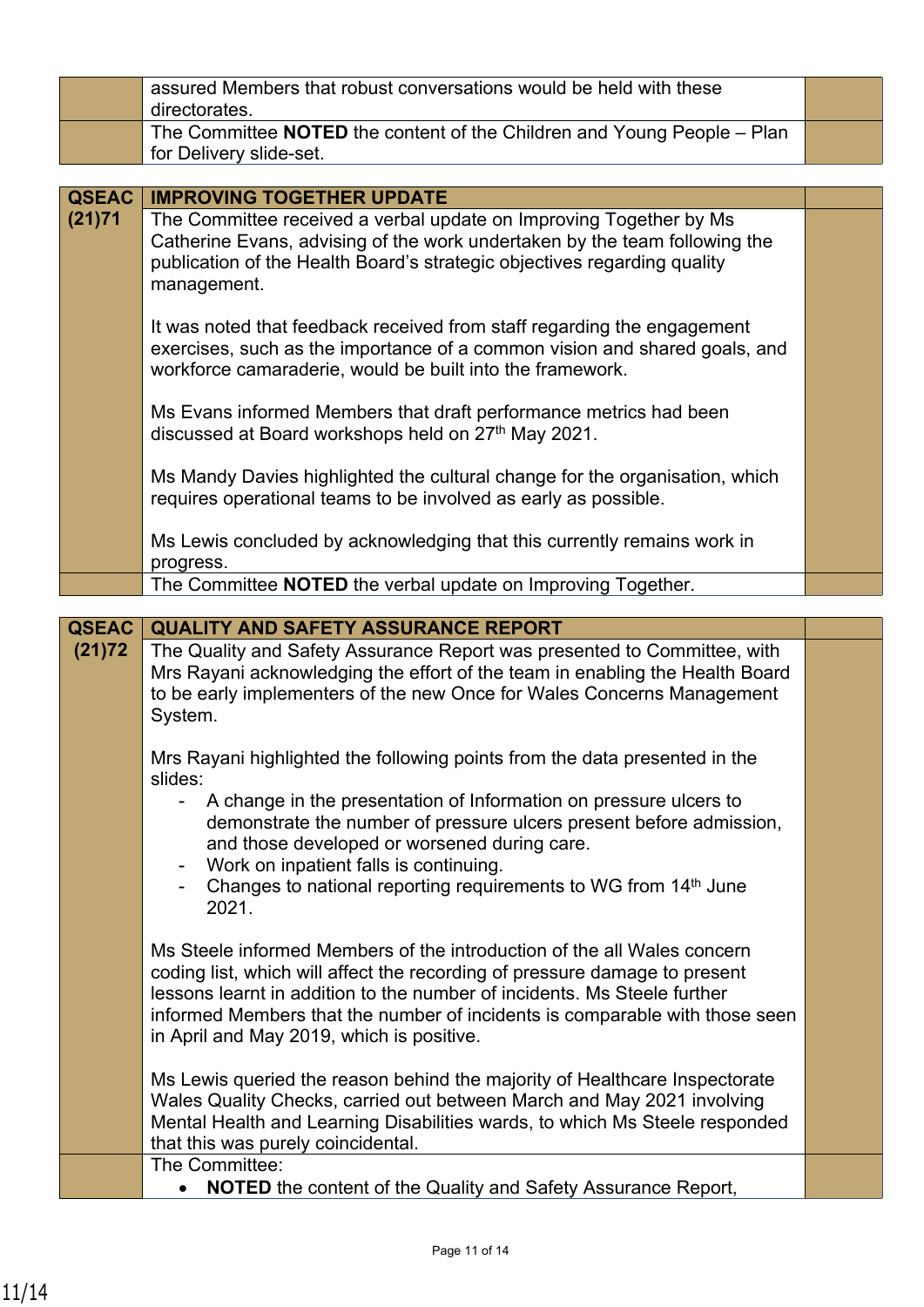|                        | assured Members that robust conversations would be held with these<br>directorates.                                                                                                                                                                                                                                                                           |  |
|------------------------|---------------------------------------------------------------------------------------------------------------------------------------------------------------------------------------------------------------------------------------------------------------------------------------------------------------------------------------------------------------|--|
|                        | The Committee NOTED the content of the Children and Young People - Plan<br>for Delivery slide-set.                                                                                                                                                                                                                                                            |  |
|                        |                                                                                                                                                                                                                                                                                                                                                               |  |
| <b>QSEAC</b>           | <b>IMPROVING TOGETHER UPDATE</b>                                                                                                                                                                                                                                                                                                                              |  |
| (21)71                 | The Committee received a verbal update on Improving Together by Ms<br>Catherine Evans, advising of the work undertaken by the team following the<br>publication of the Health Board's strategic objectives regarding quality<br>management.                                                                                                                   |  |
|                        | It was noted that feedback received from staff regarding the engagement<br>exercises, such as the importance of a common vision and shared goals, and<br>workforce camaraderie, would be built into the framework.                                                                                                                                            |  |
|                        | Ms Evans informed Members that draft performance metrics had been<br>discussed at Board workshops held on 27th May 2021.                                                                                                                                                                                                                                      |  |
|                        | Ms Mandy Davies highlighted the cultural change for the organisation, which<br>requires operational teams to be involved as early as possible.                                                                                                                                                                                                                |  |
|                        | Ms Lewis concluded by acknowledging that this currently remains work in<br>progress.                                                                                                                                                                                                                                                                          |  |
|                        | The Committee NOTED the verbal update on Improving Together.                                                                                                                                                                                                                                                                                                  |  |
|                        |                                                                                                                                                                                                                                                                                                                                                               |  |
| <b>QSEAC</b><br>(21)72 | <b>QUALITY AND SAFETY ASSURANCE REPORT</b><br>The Quality and Safety Assurance Report was presented to Committee, with<br>Mrs Rayani acknowledging the effort of the team in enabling the Health Board<br>to be early implementers of the new Once for Wales Concerns Management<br>System.                                                                   |  |
|                        | Mrs Rayani highlighted the following points from the data presented in the<br>slides:                                                                                                                                                                                                                                                                         |  |
|                        | A change in the presentation of Information on pressure ulcers to<br>demonstrate the number of pressure ulcers present before admission,<br>and those developed or worsened during care.<br>Work on inpatient falls is continuing.<br>Changes to national reporting requirements to WG from 14th June<br>2021.                                                |  |
|                        | Ms Steele informed Members of the introduction of the all Wales concern<br>coding list, which will affect the recording of pressure damage to present<br>lessons learnt in addition to the number of incidents. Ms Steele further<br>informed Members that the number of incidents is comparable with those seen<br>in April and May 2019, which is positive. |  |
|                        | Ms Lewis queried the reason behind the majority of Healthcare Inspectorate<br>Wales Quality Checks, carried out between March and May 2021 involving<br>Mental Health and Learning Disabilities wards, to which Ms Steele responded<br>that this was purely coincidental.                                                                                     |  |
|                        | The Committee:                                                                                                                                                                                                                                                                                                                                                |  |
|                        | <b>NOTED</b> the content of the Quality and Safety Assurance Report,<br>$\bullet$                                                                                                                                                                                                                                                                             |  |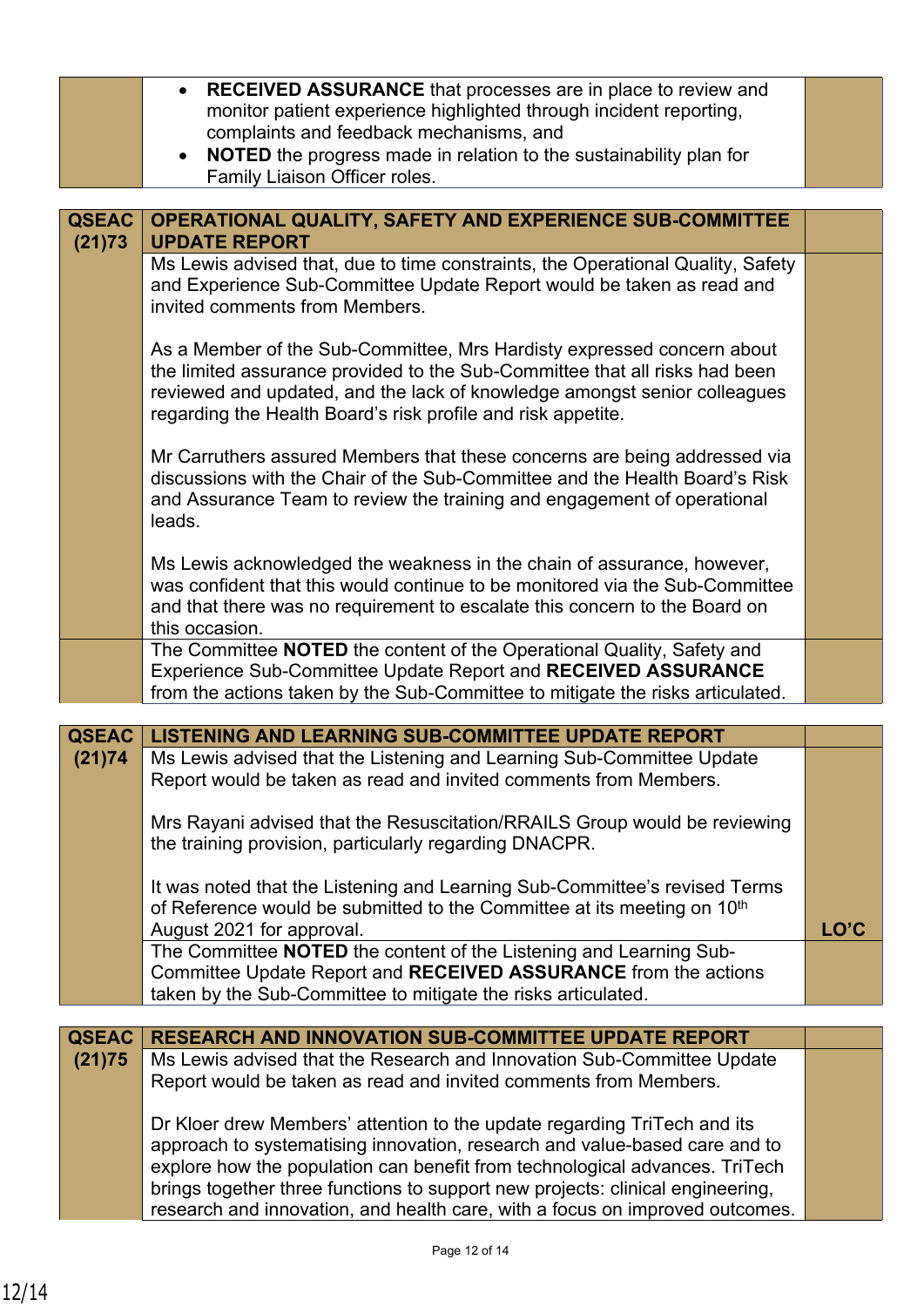|              | • RECEIVED ASSURANCE that processes are in place to review and<br>monitor patient experience highlighted through incident reporting,                                                                                                                                                                                                                                                                    |      |
|--------------|---------------------------------------------------------------------------------------------------------------------------------------------------------------------------------------------------------------------------------------------------------------------------------------------------------------------------------------------------------------------------------------------------------|------|
|              | complaints and feedback mechanisms, and<br><b>NOTED</b> the progress made in relation to the sustainability plan for<br>$\bullet$<br>Family Liaison Officer roles.                                                                                                                                                                                                                                      |      |
|              |                                                                                                                                                                                                                                                                                                                                                                                                         |      |
| <b>QSEAC</b> | OPERATIONAL QUALITY, SAFETY AND EXPERIENCE SUB-COMMITTEE                                                                                                                                                                                                                                                                                                                                                |      |
| (21)73       | <b>UPDATE REPORT</b>                                                                                                                                                                                                                                                                                                                                                                                    |      |
|              | Ms Lewis advised that, due to time constraints, the Operational Quality, Safety<br>and Experience Sub-Committee Update Report would be taken as read and<br>invited comments from Members.                                                                                                                                                                                                              |      |
|              | As a Member of the Sub-Committee, Mrs Hardisty expressed concern about<br>the limited assurance provided to the Sub-Committee that all risks had been<br>reviewed and updated, and the lack of knowledge amongst senior colleagues<br>regarding the Health Board's risk profile and risk appetite.                                                                                                      |      |
|              | Mr Carruthers assured Members that these concerns are being addressed via<br>discussions with the Chair of the Sub-Committee and the Health Board's Risk<br>and Assurance Team to review the training and engagement of operational<br>leads.                                                                                                                                                           |      |
|              | Ms Lewis acknowledged the weakness in the chain of assurance, however,<br>was confident that this would continue to be monitored via the Sub-Committee<br>and that there was no requirement to escalate this concern to the Board on<br>this occasion.                                                                                                                                                  |      |
|              | The Committee NOTED the content of the Operational Quality, Safety and<br>Experience Sub-Committee Update Report and RECEIVED ASSURANCE<br>from the actions taken by the Sub-Committee to mitigate the risks articulated.                                                                                                                                                                               |      |
| <b>QSEAC</b> | <b>LISTENING AND LEARNING SUB-COMMITTEE UPDATE REPORT</b>                                                                                                                                                                                                                                                                                                                                               |      |
| (21)74       | Ms Lewis advised that the Listening and Learning Sub-Committee Update<br>Report would be taken as read and invited comments from Members.                                                                                                                                                                                                                                                               |      |
|              | Mrs Rayani advised that the Resuscitation/RRAILS Group would be reviewing<br>the training provision, particularly regarding DNACPR.                                                                                                                                                                                                                                                                     |      |
|              | It was noted that the Listening and Learning Sub-Committee's revised Terms<br>of Reference would be submitted to the Committee at its meeting on 10 <sup>th</sup><br>August 2021 for approval.                                                                                                                                                                                                          | LO'C |
|              | The Committee NOTED the content of the Listening and Learning Sub-<br>Committee Update Report and RECEIVED ASSURANCE from the actions<br>taken by the Sub-Committee to mitigate the risks articulated.                                                                                                                                                                                                  |      |
|              |                                                                                                                                                                                                                                                                                                                                                                                                         |      |
| <b>QSEAC</b> | <b>RESEARCH AND INNOVATION SUB-COMMITTEE UPDATE REPORT</b>                                                                                                                                                                                                                                                                                                                                              |      |
| (21)75       | Ms Lewis advised that the Research and Innovation Sub-Committee Update<br>Report would be taken as read and invited comments from Members.                                                                                                                                                                                                                                                              |      |
|              | Dr Kloer drew Members' attention to the update regarding TriTech and its<br>approach to systematising innovation, research and value-based care and to<br>explore how the population can benefit from technological advances. TriTech<br>brings together three functions to support new projects: clinical engineering,<br>research and innovation, and health care, with a focus on improved outcomes. |      |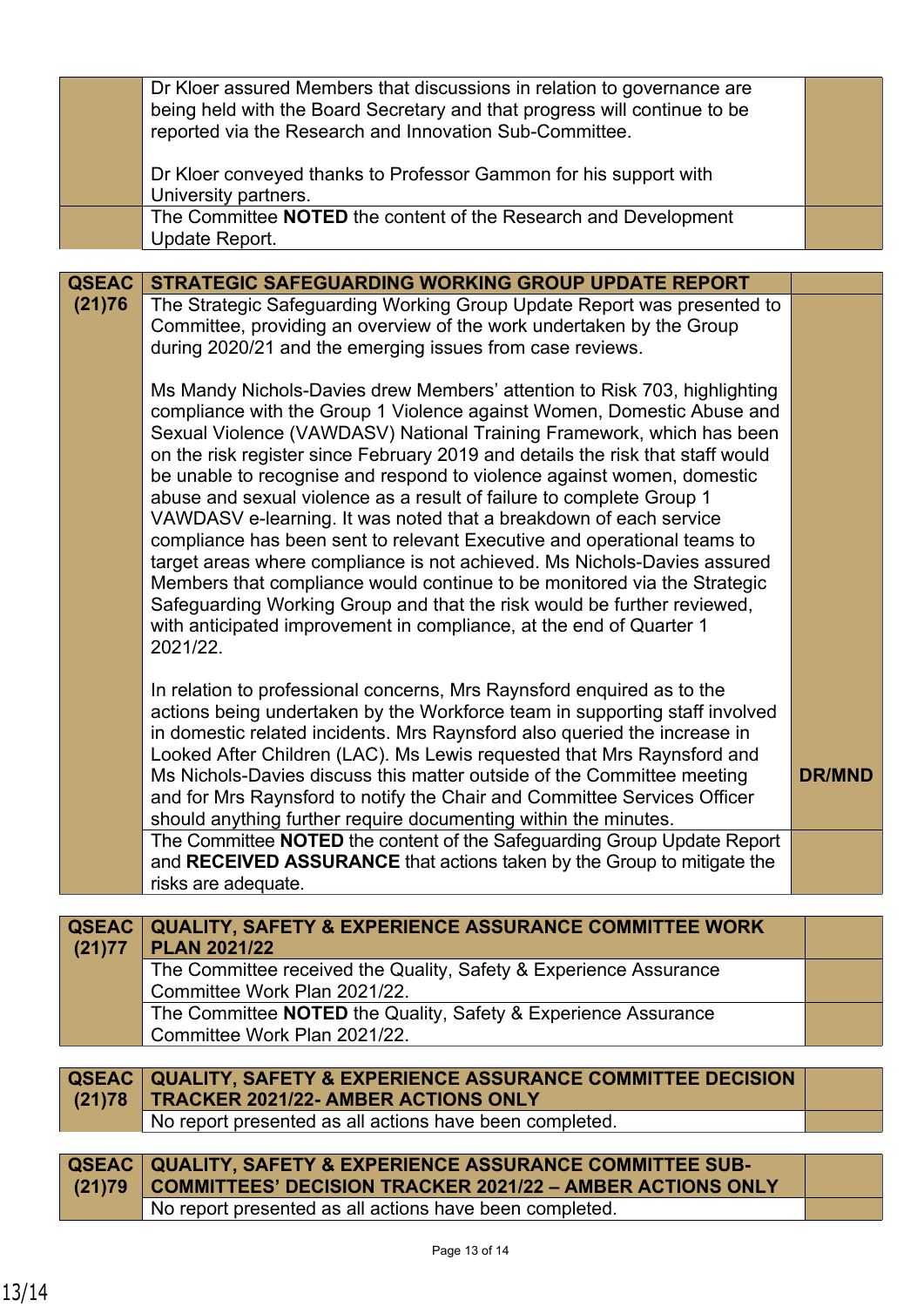|                        | Dr Kloer assured Members that discussions in relation to governance are<br>being held with the Board Secretary and that progress will continue to be                                                                                                                                                                                                                                                                                                                                                                                                                                                                                                                                                                                                                                                                                                                                                                                   |               |
|------------------------|----------------------------------------------------------------------------------------------------------------------------------------------------------------------------------------------------------------------------------------------------------------------------------------------------------------------------------------------------------------------------------------------------------------------------------------------------------------------------------------------------------------------------------------------------------------------------------------------------------------------------------------------------------------------------------------------------------------------------------------------------------------------------------------------------------------------------------------------------------------------------------------------------------------------------------------|---------------|
|                        | reported via the Research and Innovation Sub-Committee.<br>Dr Kloer conveyed thanks to Professor Gammon for his support with                                                                                                                                                                                                                                                                                                                                                                                                                                                                                                                                                                                                                                                                                                                                                                                                           |               |
|                        | University partners.                                                                                                                                                                                                                                                                                                                                                                                                                                                                                                                                                                                                                                                                                                                                                                                                                                                                                                                   |               |
|                        | The Committee NOTED the content of the Research and Development<br>Update Report.                                                                                                                                                                                                                                                                                                                                                                                                                                                                                                                                                                                                                                                                                                                                                                                                                                                      |               |
|                        |                                                                                                                                                                                                                                                                                                                                                                                                                                                                                                                                                                                                                                                                                                                                                                                                                                                                                                                                        |               |
| <b>QSEAC</b><br>(21)76 | <b>STRATEGIC SAFEGUARDING WORKING GROUP UPDATE REPORT</b><br>The Strategic Safeguarding Working Group Update Report was presented to                                                                                                                                                                                                                                                                                                                                                                                                                                                                                                                                                                                                                                                                                                                                                                                                   |               |
|                        | Committee, providing an overview of the work undertaken by the Group<br>during 2020/21 and the emerging issues from case reviews.                                                                                                                                                                                                                                                                                                                                                                                                                                                                                                                                                                                                                                                                                                                                                                                                      |               |
|                        | Ms Mandy Nichols-Davies drew Members' attention to Risk 703, highlighting<br>compliance with the Group 1 Violence against Women, Domestic Abuse and<br>Sexual Violence (VAWDASV) National Training Framework, which has been<br>on the risk register since February 2019 and details the risk that staff would<br>be unable to recognise and respond to violence against women, domestic<br>abuse and sexual violence as a result of failure to complete Group 1<br>VAWDASV e-learning. It was noted that a breakdown of each service<br>compliance has been sent to relevant Executive and operational teams to<br>target areas where compliance is not achieved. Ms Nichols-Davies assured<br>Members that compliance would continue to be monitored via the Strategic<br>Safeguarding Working Group and that the risk would be further reviewed,<br>with anticipated improvement in compliance, at the end of Quarter 1<br>2021/22. |               |
|                        | In relation to professional concerns, Mrs Raynsford enquired as to the<br>actions being undertaken by the Workforce team in supporting staff involved<br>in domestic related incidents. Mrs Raynsford also queried the increase in<br>Looked After Children (LAC). Ms Lewis requested that Mrs Raynsford and<br>Ms Nichols-Davies discuss this matter outside of the Committee meeting<br>and for Mrs Raynsford to notify the Chair and Committee Services Officer<br>should anything further require documenting within the minutes.                                                                                                                                                                                                                                                                                                                                                                                                  | <b>DR/MND</b> |
|                        | The Committee NOTED the content of the Safeguarding Group Update Report<br>and RECEIVED ASSURANCE that actions taken by the Group to mitigate the<br>risks are adequate.                                                                                                                                                                                                                                                                                                                                                                                                                                                                                                                                                                                                                                                                                                                                                               |               |
|                        |                                                                                                                                                                                                                                                                                                                                                                                                                                                                                                                                                                                                                                                                                                                                                                                                                                                                                                                                        |               |
| <b>QSEAC</b><br>(21)77 | <b>QUALITY, SAFETY &amp; EXPERIENCE ASSURANCE COMMITTEE WORK</b><br><b>PLAN 2021/22</b>                                                                                                                                                                                                                                                                                                                                                                                                                                                                                                                                                                                                                                                                                                                                                                                                                                                |               |
|                        | The Committee received the Quality, Safety & Experience Assurance<br>Committee Work Plan 2021/22.                                                                                                                                                                                                                                                                                                                                                                                                                                                                                                                                                                                                                                                                                                                                                                                                                                      |               |
|                        | The Committee NOTED the Quality, Safety & Experience Assurance<br>Committee Work Plan 2021/22.                                                                                                                                                                                                                                                                                                                                                                                                                                                                                                                                                                                                                                                                                                                                                                                                                                         |               |
|                        |                                                                                                                                                                                                                                                                                                                                                                                                                                                                                                                                                                                                                                                                                                                                                                                                                                                                                                                                        |               |
| <b>QSEAC</b><br>(21)78 | <b>QUALITY, SAFETY &amp; EXPERIENCE ASSURANCE COMMITTEE DECISION</b><br><b>TRACKER 2021/22- AMBER ACTIONS ONLY</b>                                                                                                                                                                                                                                                                                                                                                                                                                                                                                                                                                                                                                                                                                                                                                                                                                     |               |
|                        | No report presented as all actions have been completed.                                                                                                                                                                                                                                                                                                                                                                                                                                                                                                                                                                                                                                                                                                                                                                                                                                                                                |               |
| <b>QSEAC</b><br>(21)79 | <b>QUALITY, SAFETY &amp; EXPERIENCE ASSURANCE COMMITTEE SUB-</b><br><b>COMMITTEES' DECISION TRACKER 2021/22 - AMBER ACTIONS ONLY</b>                                                                                                                                                                                                                                                                                                                                                                                                                                                                                                                                                                                                                                                                                                                                                                                                   |               |
|                        | No report presented as all actions have been completed.                                                                                                                                                                                                                                                                                                                                                                                                                                                                                                                                                                                                                                                                                                                                                                                                                                                                                |               |
|                        |                                                                                                                                                                                                                                                                                                                                                                                                                                                                                                                                                                                                                                                                                                                                                                                                                                                                                                                                        |               |